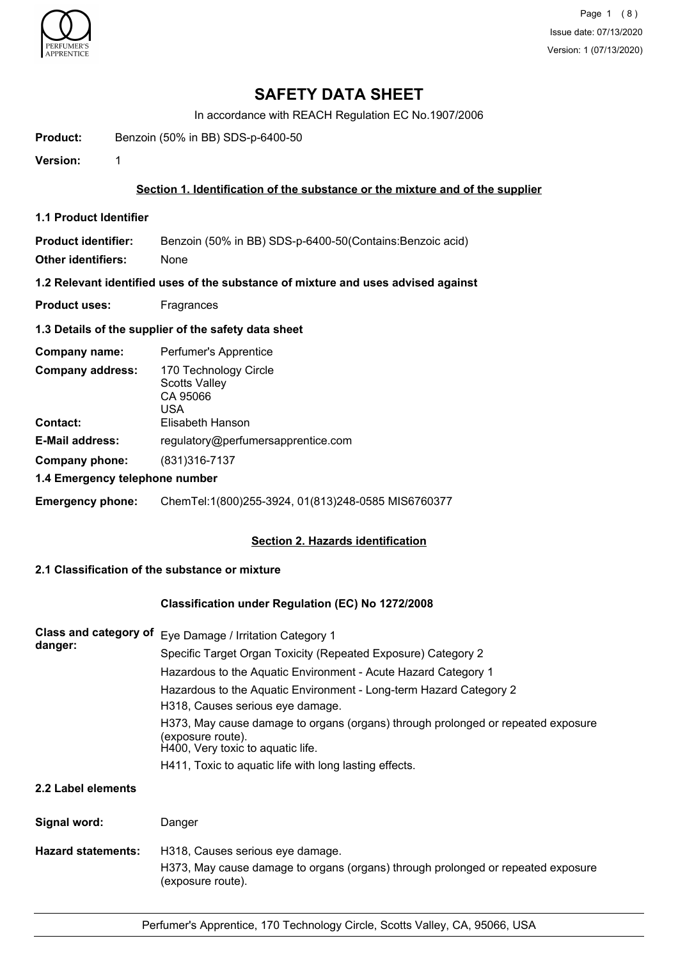

## **SAFETY DATA SHEET**

In accordance with REACH Regulation EC No.1907/2006

**Product:** Benzoin (50% in BB) SDS-p-6400-50

**Version:** 1

### **Section 1. Identification of the substance or the mixture and of the supplier**

**1.1 Product Identifier**

**Product identifier:** Benzoin (50% in BB) SDS-p-6400-50(Contains:Benzoic acid)

**Other identifiers:** None

**1.2 Relevant identified uses of the substance of mixture and uses advised against**

**Product uses:** Fragrances

### **1.3 Details of the supplier of the safety data sheet**

| Company name:                              | Perfumer's Apprentice                                                                |
|--------------------------------------------|--------------------------------------------------------------------------------------|
| <b>Company address:</b><br><b>Contact:</b> | 170 Technology Circle<br><b>Scotts Valley</b><br>CA 95066<br>USA<br>Elisabeth Hanson |
| <b>E-Mail address:</b>                     | regulatory@perfumersapprentice.com                                                   |
| Company phone:                             | (831)316-7137                                                                        |
| 1.4 Emergency telephone number             |                                                                                      |
| <b>Emergency phone:</b>                    | ChemTel:1(800)255-3924, 01(813)248-0585 MIS6760377                                   |

### **Section 2. Hazards identification**

## **2.1 Classification of the substance or mixture**

### **Classification under Regulation (EC) No 1272/2008**

| <b>Class and category of</b> | Eye Damage / Irritation Category 1                                                                                                         |  |  |
|------------------------------|--------------------------------------------------------------------------------------------------------------------------------------------|--|--|
| danger:                      | Specific Target Organ Toxicity (Repeated Exposure) Category 2                                                                              |  |  |
|                              | Hazardous to the Aquatic Environment - Acute Hazard Category 1                                                                             |  |  |
|                              | Hazardous to the Aquatic Environment - Long-term Hazard Category 2<br>H318, Causes serious eye damage.                                     |  |  |
|                              | H373, May cause damage to organs (organs) through prolonged or repeated exposure<br>(exposure route).<br>H400, Very toxic to aquatic life. |  |  |
|                              | H411, Toxic to aquatic life with long lasting effects.                                                                                     |  |  |
| 2.2 Label elements           |                                                                                                                                            |  |  |
| Signal word:                 | Danger                                                                                                                                     |  |  |

**Hazard statements:** H318, Causes serious eye damage. H373, May cause damage to organs (organs) through prolonged or repeated exposure (exposure route).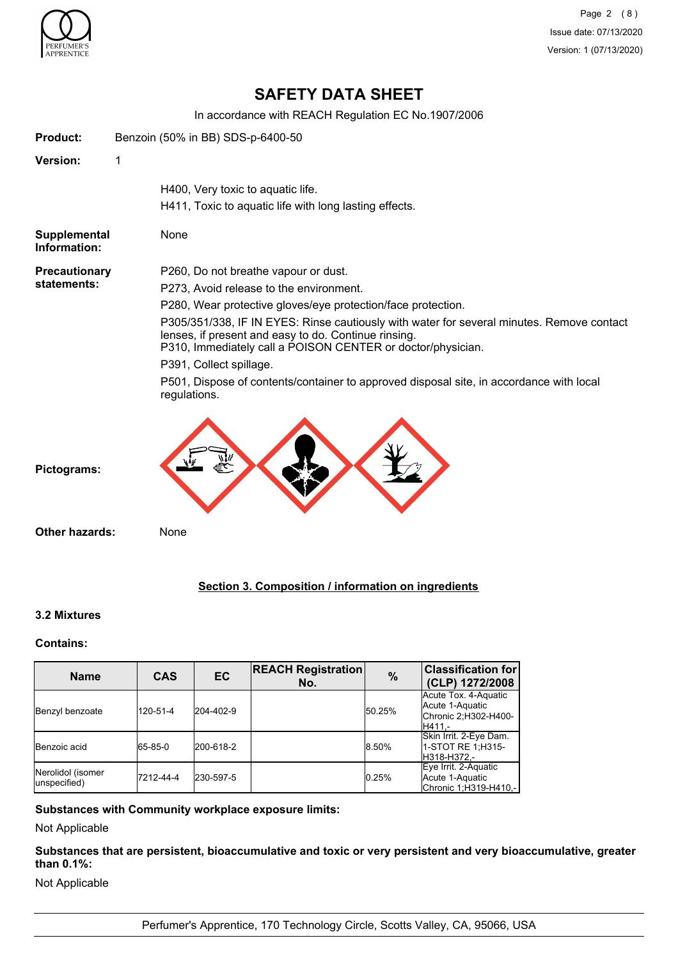

Page 2 (8) Issue date: 07/13/2020 Version: 1 (07/13/2020)

# **SAFETY DATA SHEET**

In accordance with REACH Regulation EC No.1907/2006

| <b>Product:</b>              |   | Benzoin (50% in BB) SDS-p-6400-50                                                                                                                                                                                                           |
|------------------------------|---|---------------------------------------------------------------------------------------------------------------------------------------------------------------------------------------------------------------------------------------------|
| Version:                     | 1 |                                                                                                                                                                                                                                             |
|                              |   | H400, Very toxic to aquatic life.                                                                                                                                                                                                           |
|                              |   | H411, Toxic to aquatic life with long lasting effects.                                                                                                                                                                                      |
| Supplemental<br>Information: |   | None                                                                                                                                                                                                                                        |
| <b>Precautionary</b>         |   | P260, Do not breathe vapour or dust.                                                                                                                                                                                                        |
| statements:                  |   | P273, Avoid release to the environment.                                                                                                                                                                                                     |
|                              |   | P280, Wear protective gloves/eye protection/face protection.                                                                                                                                                                                |
|                              |   | P305/351/338, IF IN EYES: Rinse cautiously with water for several minutes. Remove contact<br>lenses, if present and easy to do. Continue rinsing.<br>P310, Immediately call a POISON CENTER or doctor/physician.<br>P391, Collect spillage. |
|                              |   | P501, Dispose of contents/container to approved disposal site, in accordance with local<br>regulations.                                                                                                                                     |
| Pictograms:                  |   |                                                                                                                                                                                                                                             |
| <b>Other hazards:</b>        |   | None                                                                                                                                                                                                                                        |

### **Section 3. Composition / information on ingredients**

### **3.2 Mixtures**

#### **Contains:**

| <b>Name</b>                       | <b>CAS</b> | EC        | <b>REACH Registration</b><br>No. | $\frac{0}{0}$ | <b>Classification for</b><br>(CLP) 1272/2008                              |
|-----------------------------------|------------|-----------|----------------------------------|---------------|---------------------------------------------------------------------------|
| Benzyl benzoate                   | 120-51-4   | 204-402-9 |                                  | 50.25%        | Acute Tox. 4-Aquatic<br>Acute 1-Aquatic<br>Chronic 2;H302-H400-<br>H411.- |
| <b>Benzoic</b> acid               | 65-85-0    | 200-618-2 |                                  | 8.50%         | Skin Irrit. 2-Eye Dam.<br>1-STOT RE 1:H315-<br>H318-H372,-                |
| Nerolidol (isomer<br>unspecified) | 7212-44-4  | 230-597-5 |                                  | 0.25%         | Eye Irrit. 2-Aquatic<br>Acute 1-Aquatic<br>Chronic 1;H319-H410,-          |

### **Substances with Community workplace exposure limits:**

Not Applicable

**Substances that are persistent, bioaccumulative and toxic or very persistent and very bioaccumulative, greater than 0.1%:**

Not Applicable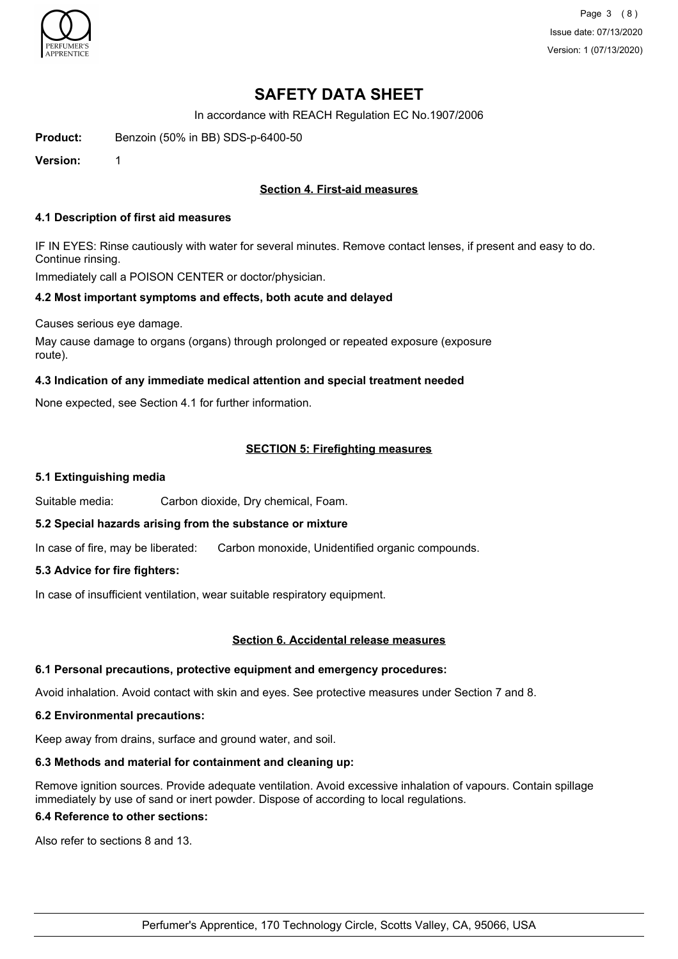

Page 3 (8) Issue date: 07/13/2020 Version: 1 (07/13/2020)

# **SAFETY DATA SHEET**

In accordance with REACH Regulation EC No.1907/2006

**Product:** Benzoin (50% in BB) SDS-p-6400-50

**Version:** 1

## **Section 4. First-aid measures**

#### **4.1 Description of first aid measures**

IF IN EYES: Rinse cautiously with water for several minutes. Remove contact lenses, if present and easy to do. Continue rinsing.

Immediately call a POISON CENTER or doctor/physician.

### **4.2 Most important symptoms and effects, both acute and delayed**

Causes serious eye damage.

May cause damage to organs (organs) through prolonged or repeated exposure (exposure route).

#### **4.3 Indication of any immediate medical attention and special treatment needed**

None expected, see Section 4.1 for further information.

### **SECTION 5: Firefighting measures**

#### **5.1 Extinguishing media**

Suitable media: Carbon dioxide, Dry chemical, Foam.

### **5.2 Special hazards arising from the substance or mixture**

In case of fire, may be liberated: Carbon monoxide, Unidentified organic compounds.

### **5.3 Advice for fire fighters:**

In case of insufficient ventilation, wear suitable respiratory equipment.

#### **Section 6. Accidental release measures**

#### **6.1 Personal precautions, protective equipment and emergency procedures:**

Avoid inhalation. Avoid contact with skin and eyes. See protective measures under Section 7 and 8.

#### **6.2 Environmental precautions:**

Keep away from drains, surface and ground water, and soil.

### **6.3 Methods and material for containment and cleaning up:**

Remove ignition sources. Provide adequate ventilation. Avoid excessive inhalation of vapours. Contain spillage immediately by use of sand or inert powder. Dispose of according to local regulations.

#### **6.4 Reference to other sections:**

Also refer to sections 8 and 13.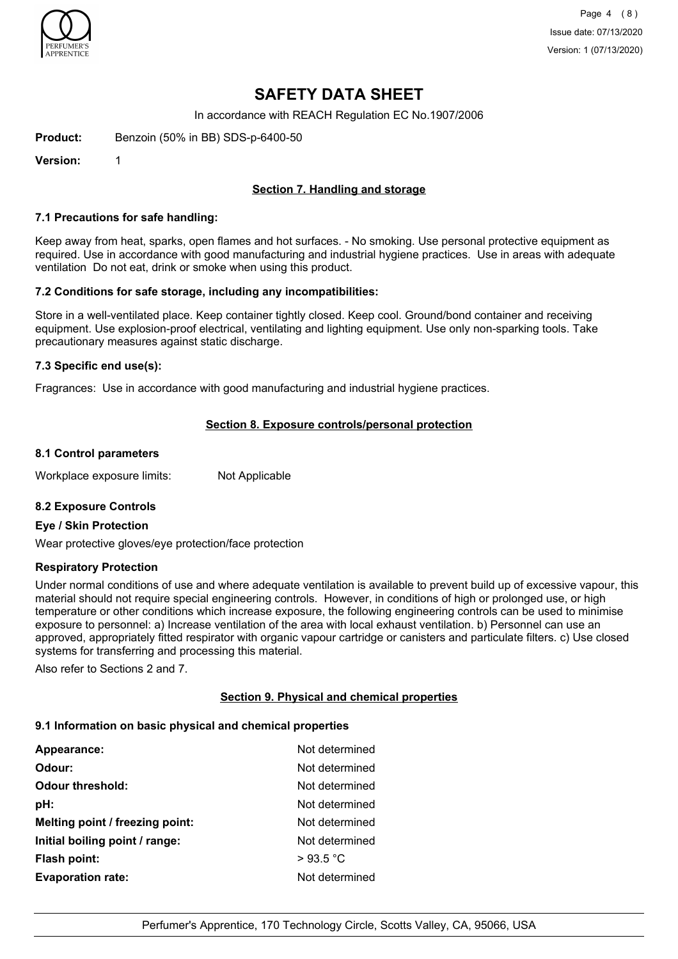

## **SAFETY DATA SHEET**

In accordance with REACH Regulation EC No.1907/2006

**Product:** Benzoin (50% in BB) SDS-p-6400-50

**Version:** 1

## **Section 7. Handling and storage**

#### **7.1 Precautions for safe handling:**

Keep away from heat, sparks, open flames and hot surfaces. - No smoking. Use personal protective equipment as required. Use in accordance with good manufacturing and industrial hygiene practices. Use in areas with adequate ventilation Do not eat, drink or smoke when using this product.

### **7.2 Conditions for safe storage, including any incompatibilities:**

Store in a well-ventilated place. Keep container tightly closed. Keep cool. Ground/bond container and receiving equipment. Use explosion-proof electrical, ventilating and lighting equipment. Use only non-sparking tools. Take precautionary measures against static discharge.

### **7.3 Specific end use(s):**

Fragrances: Use in accordance with good manufacturing and industrial hygiene practices.

### **Section 8. Exposure controls/personal protection**

#### **8.1 Control parameters**

Workplace exposure limits: Not Applicable

### **8.2 Exposure Controls**

### **Eye / Skin Protection**

Wear protective gloves/eye protection/face protection

### **Respiratory Protection**

Under normal conditions of use and where adequate ventilation is available to prevent build up of excessive vapour, this material should not require special engineering controls. However, in conditions of high or prolonged use, or high temperature or other conditions which increase exposure, the following engineering controls can be used to minimise exposure to personnel: a) Increase ventilation of the area with local exhaust ventilation. b) Personnel can use an approved, appropriately fitted respirator with organic vapour cartridge or canisters and particulate filters. c) Use closed systems for transferring and processing this material.

Also refer to Sections 2 and 7.

### **Section 9. Physical and chemical properties**

### **9.1 Information on basic physical and chemical properties**

| Appearance:                     | Not determined |
|---------------------------------|----------------|
| Odour:                          | Not determined |
| <b>Odour threshold:</b>         | Not determined |
| pH:                             | Not determined |
| Melting point / freezing point: | Not determined |
| Initial boiling point / range:  | Not determined |
| <b>Flash point:</b>             | >93.5 °C       |
| <b>Evaporation rate:</b>        | Not determined |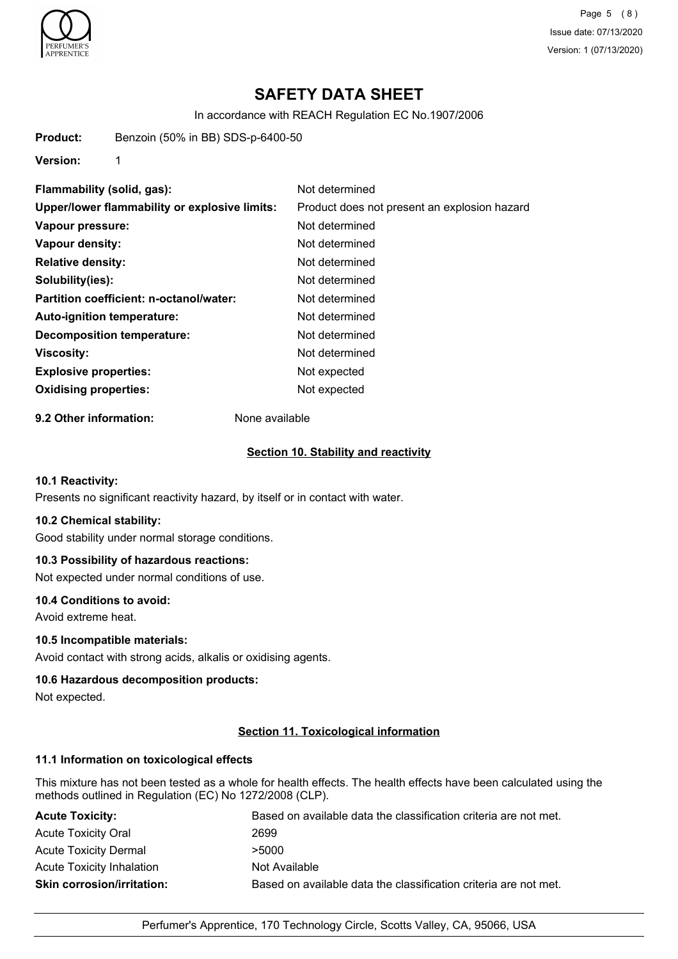

Page 5 (8) Issue date: 07/13/2020 Version: 1 (07/13/2020)

# **SAFETY DATA SHEET**

In accordance with REACH Regulation EC No.1907/2006

**Product:** Benzoin (50% in BB) SDS-p-6400-50

**Version:** 1

**Flammability (solid, gas):** Not determined **Upper/lower flammability or explosive limits:** Product does not present an explosion hazard **Vapour pressure:** Not determined **Vapour density:** Not determined **Relative density:** Not determined **Solubility(ies):** Not determined **Partition coefficient: n-octanol/water:** Not determined **Auto-ignition temperature:** Not determined **Decomposition temperature:** Not determined **Viscosity:** Not determined **Explosive properties:** Not expected **Oxidising properties:** Not expected

**9.2 Other information:** None available

#### **Section 10. Stability and reactivity**

### **10.1 Reactivity:**

Presents no significant reactivity hazard, by itself or in contact with water.

#### **10.2 Chemical stability:**

Good stability under normal storage conditions.

#### **10.3 Possibility of hazardous reactions:**

Not expected under normal conditions of use.

#### **10.4 Conditions to avoid:**

Avoid extreme heat.

#### **10.5 Incompatible materials:**

Avoid contact with strong acids, alkalis or oxidising agents.

#### **10.6 Hazardous decomposition products:**

Not expected.

#### **Section 11. Toxicological information**

#### **11.1 Information on toxicological effects**

This mixture has not been tested as a whole for health effects. The health effects have been calculated using the methods outlined in Regulation (EC) No 1272/2008 (CLP).

| <b>Acute Toxicity:</b>            | Based on available data the classification criteria are not met. |
|-----------------------------------|------------------------------------------------------------------|
| <b>Acute Toxicity Oral</b>        | 2699                                                             |
| <b>Acute Toxicity Dermal</b>      | >5000                                                            |
| <b>Acute Toxicity Inhalation</b>  | Not Available                                                    |
| <b>Skin corrosion/irritation:</b> | Based on available data the classification criteria are not met. |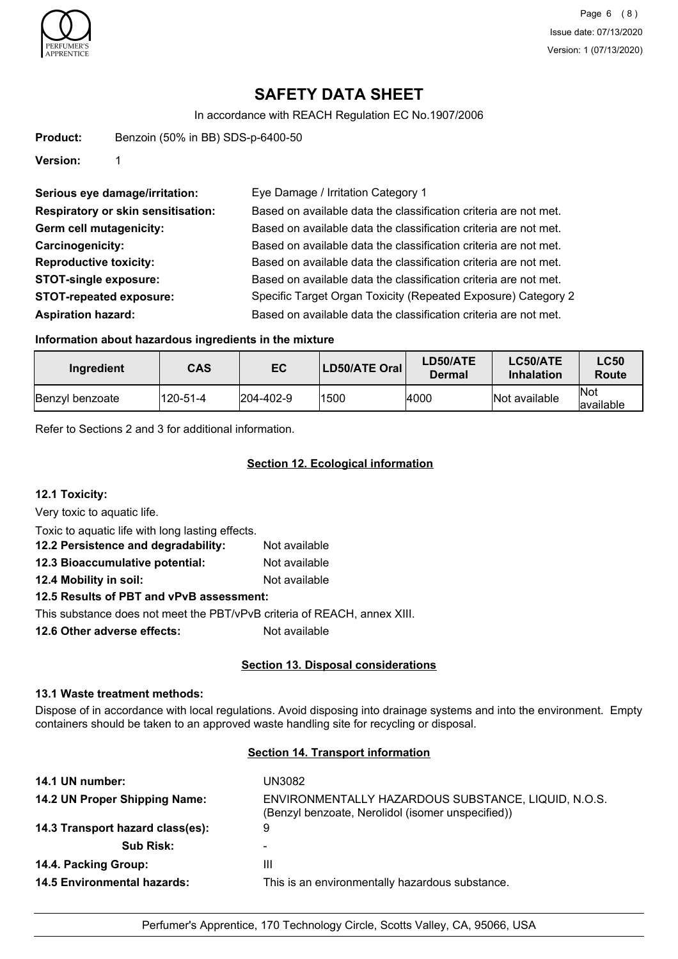

# **SAFETY DATA SHEET**

In accordance with REACH Regulation EC No.1907/2006

| Product: | Benzoin (50% in BB) SDS-p-6400-50 |
|----------|-----------------------------------|
|----------|-----------------------------------|

**Version:** 1

| Serious eye damage/irritation:            | Eye Damage / Irritation Category 1                               |
|-------------------------------------------|------------------------------------------------------------------|
| <b>Respiratory or skin sensitisation:</b> | Based on available data the classification criteria are not met. |
| Germ cell mutagenicity:                   | Based on available data the classification criteria are not met. |
| Carcinogenicity:                          | Based on available data the classification criteria are not met. |
| <b>Reproductive toxicity:</b>             | Based on available data the classification criteria are not met. |
| <b>STOT-single exposure:</b>              | Based on available data the classification criteria are not met. |
| <b>STOT-repeated exposure:</b>            | Specific Target Organ Toxicity (Repeated Exposure) Category 2    |
| <b>Aspiration hazard:</b>                 | Based on available data the classification criteria are not met. |

#### **Information about hazardous ingredients in the mixture**

| Ingredient      | <b>CAS</b> | EC                | LD50/ATE Oral | <b>LD50/ATE</b><br>Dermal | LC50/ATE<br><b>Inhalation</b> | <b>LC50</b><br>Route      |
|-----------------|------------|-------------------|---------------|---------------------------|-------------------------------|---------------------------|
| Benzyl benzoate | 120-51-4   | $ 204 - 402 - 9 $ | 1500          | 4000                      | Not available                 | <b>INot</b><br>lavailable |

Refer to Sections 2 and 3 for additional information.

## **Section 12. Ecological information**

**12.1 Toxicity:**

Very toxic to aquatic life.

Toxic to aquatic life with long lasting effects.

| 12.2 Persistence and degradability:      | Not available |  |
|------------------------------------------|---------------|--|
| 12.3 Bioaccumulative potential:          | Not available |  |
| 12.4 Mobility in soil:                   | Not available |  |
| 12.5 Results of PBT and vPvB assessment: |               |  |

This substance does not meet the PBT/vPvB criteria of REACH, annex XIII.

**12.6 Other adverse effects:** Not available

### **Section 13. Disposal considerations**

#### **13.1 Waste treatment methods:**

Dispose of in accordance with local regulations. Avoid disposing into drainage systems and into the environment. Empty containers should be taken to an approved waste handling site for recycling or disposal.

## **Section 14. Transport information**

| 14.1 UN number:                    | UN3082                                                                                                   |
|------------------------------------|----------------------------------------------------------------------------------------------------------|
| 14.2 UN Proper Shipping Name:      | ENVIRONMENTALLY HAZARDOUS SUBSTANCE, LIQUID, N.O.S.<br>(Benzyl benzoate, Nerolidol (isomer unspecified)) |
| 14.3 Transport hazard class(es):   | 9                                                                                                        |
| <b>Sub Risk:</b>                   |                                                                                                          |
| 14.4. Packing Group:               | Ш                                                                                                        |
| <b>14.5 Environmental hazards:</b> | This is an environmentally hazardous substance.                                                          |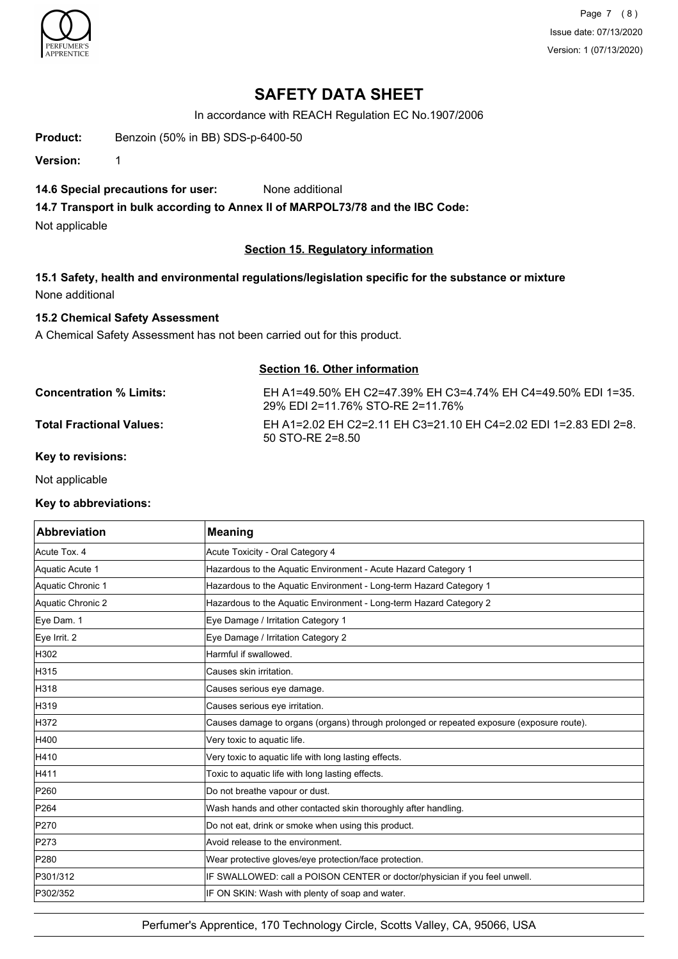

Page 7 (8) Issue date: 07/13/2020 Version: 1 (07/13/2020)

## **SAFETY DATA SHEET**

In accordance with REACH Regulation EC No.1907/2006

**Product:** Benzoin (50% in BB) SDS-p-6400-50

**Version:** 1

## **14.6 Special precautions for user:** None additional

**14.7 Transport in bulk according to Annex II of MARPOL73/78 and the IBC Code:**

Not applicable

### **Section 15. Regulatory information**

**15.1 Safety, health and environmental regulations/legislation specific for the substance or mixture** None additional

## **15.2 Chemical Safety Assessment**

A Chemical Safety Assessment has not been carried out for this product.

### **Section 16. Other information**

| <b>Concentration % Limits:</b>  | EH A1=49.50% EH C2=47.39% EH C3=4.74% EH C4=49.50% EDI 1=35.<br>29% EDI 2=11.76% STO-RE 2=11.76% |
|---------------------------------|--------------------------------------------------------------------------------------------------|
| <b>Total Fractional Values:</b> | EH A1=2.02 EH C2=2.11 EH C3=21.10 EH C4=2.02 EDI 1=2.83 EDI 2=8.<br>50 STO-RE 2=8.50             |

#### **Key to revisions:**

Not applicable

### **Key to abbreviations:**

| <b>Abbreviation</b> | <b>Meaning</b>                                                                            |
|---------------------|-------------------------------------------------------------------------------------------|
| Acute Tox. 4        | Acute Toxicity - Oral Category 4                                                          |
| Aquatic Acute 1     | Hazardous to the Aquatic Environment - Acute Hazard Category 1                            |
| Aquatic Chronic 1   | Hazardous to the Aquatic Environment - Long-term Hazard Category 1                        |
| Aquatic Chronic 2   | Hazardous to the Aquatic Environment - Long-term Hazard Category 2                        |
| Eye Dam. 1          | Eye Damage / Irritation Category 1                                                        |
| Eye Irrit. 2        | Eye Damage / Irritation Category 2                                                        |
| H302                | Harmful if swallowed.                                                                     |
| H315                | Causes skin irritation.                                                                   |
| H318                | Causes serious eye damage.                                                                |
| H319                | Causes serious eye irritation.                                                            |
| H372                | Causes damage to organs (organs) through prolonged or repeated exposure (exposure route). |
| H400                | Very toxic to aquatic life.                                                               |
| H410                | Very toxic to aquatic life with long lasting effects.                                     |
| H411                | Toxic to aquatic life with long lasting effects.                                          |
| P260                | Do not breathe vapour or dust.                                                            |
| P264                | Wash hands and other contacted skin thoroughly after handling.                            |
| P270                | Do not eat, drink or smoke when using this product.                                       |
| P273                | Avoid release to the environment.                                                         |
| P280                | Wear protective gloves/eye protection/face protection.                                    |
| P301/312            | IF SWALLOWED: call a POISON CENTER or doctor/physician if you feel unwell.                |
| P302/352            | IF ON SKIN: Wash with plenty of soap and water.                                           |